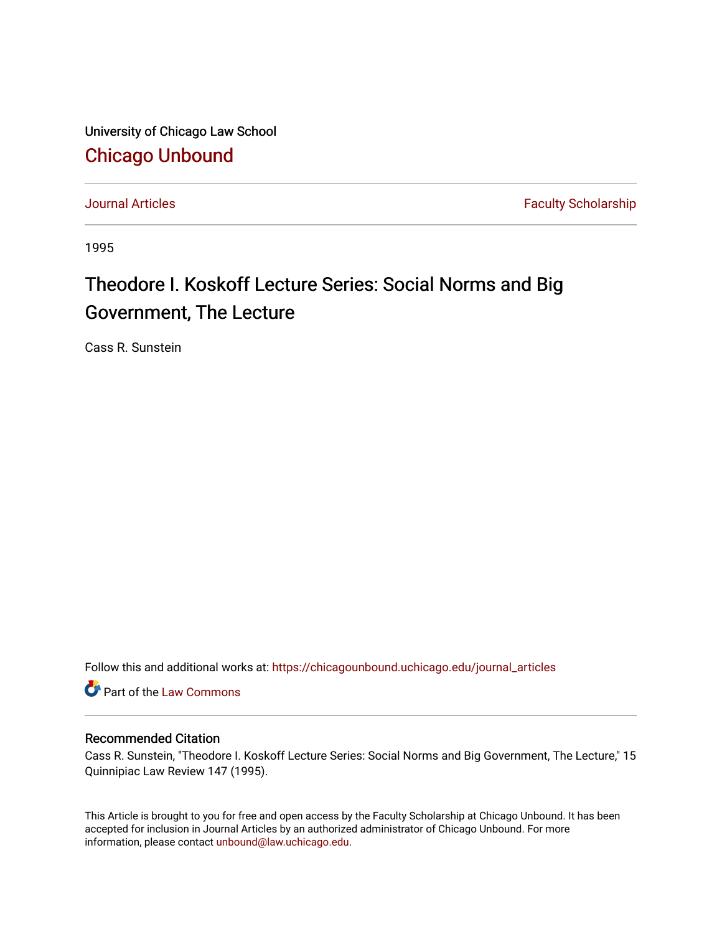University of Chicago Law School [Chicago Unbound](https://chicagounbound.uchicago.edu/)

[Journal Articles](https://chicagounbound.uchicago.edu/journal_articles) **Faculty Scholarship Faculty Scholarship** 

1995

# Theodore I. Koskoff Lecture Series: Social Norms and Big Government, The Lecture

Cass R. Sunstein

Follow this and additional works at: [https://chicagounbound.uchicago.edu/journal\\_articles](https://chicagounbound.uchicago.edu/journal_articles?utm_source=chicagounbound.uchicago.edu%2Fjournal_articles%2F8605&utm_medium=PDF&utm_campaign=PDFCoverPages) 

**C** Part of the [Law Commons](http://network.bepress.com/hgg/discipline/578?utm_source=chicagounbound.uchicago.edu%2Fjournal_articles%2F8605&utm_medium=PDF&utm_campaign=PDFCoverPages)

### Recommended Citation

Cass R. Sunstein, "Theodore I. Koskoff Lecture Series: Social Norms and Big Government, The Lecture," 15 Quinnipiac Law Review 147 (1995).

This Article is brought to you for free and open access by the Faculty Scholarship at Chicago Unbound. It has been accepted for inclusion in Journal Articles by an authorized administrator of Chicago Unbound. For more information, please contact [unbound@law.uchicago.edu](mailto:unbound@law.uchicago.edu).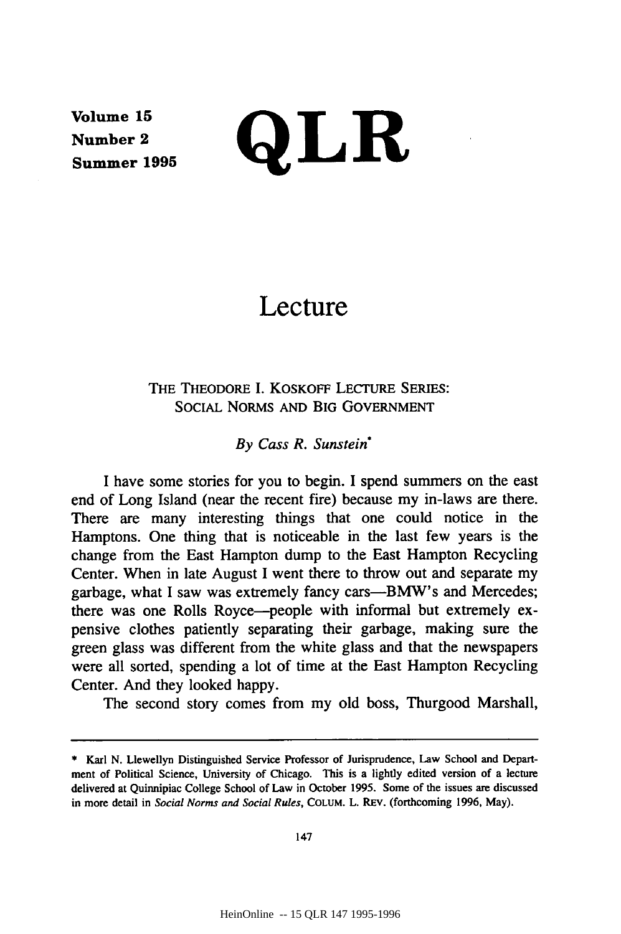**Volume 15 Number 2 Summer 1995** QLR

## **Lecture**

### THE THEODORE **I.** KOSKOFF LECTURE **SERIES:** SOCIAL NORMS **AND BIG** GOVERNMENT

#### *By Cass R. Sunstein"*

I have some stories for you to begin. I spend summers on the east end of Long Island (near the recent fire) because my in-laws are there. There are many interesting things that one could notice in the Hamptons. One thing that is noticeable in the last few years is the change from the East Hampton dump to the East Hampton Recycling Center. When in late August I went there to throw out and separate my garbage, what I saw was extremely fancy cars-BMW's and Mercedes; there was one Rolls Royce-people with informal but extremely expensive clothes patiently separating their garbage, making sure the green glass was different from the white glass and that the newspapers were all sorted, spending a lot of time at the East Hampton Recycling Center. And they looked happy.

The second story comes from my old boss, Thurgood Marshall,

<sup>\*</sup> Karl N. Llewellyn Distinguished Service Professor of Jurisprudence, Law School and Department of Political Science, University of Chicago. This is a lightly edited version of a lecture delivered at Quinnipiac College School of Law in October 1995. Some of the issues are discussed in more detail in *Social Norms and Social Rules,* COLUM. L. REv. (forthcoming 1996, May).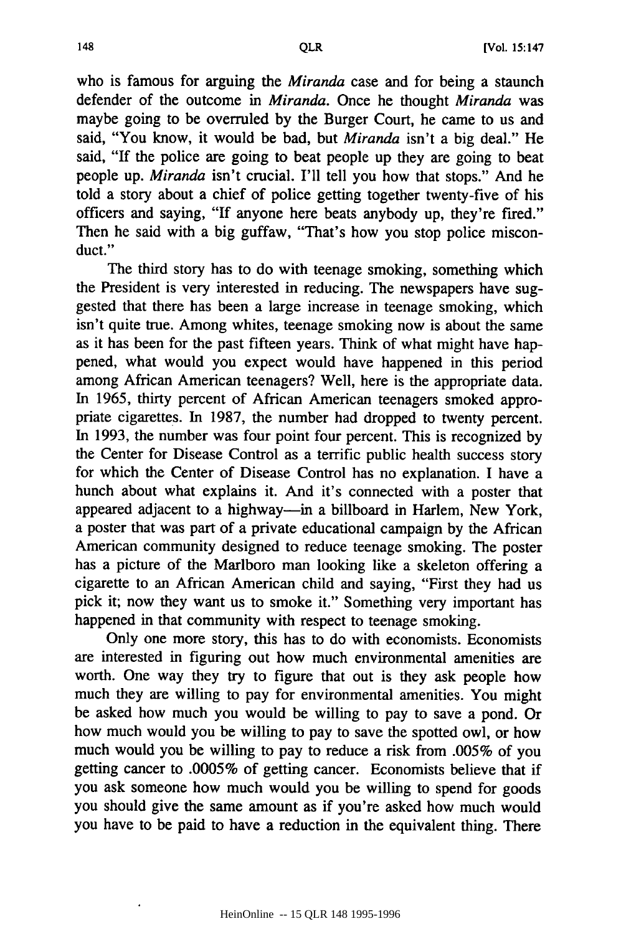who is famous for arguing the *Miranda* case and for being a staunch defender of the outcome in *Miranda.* Once he thought *Miranda* was maybe going to be overruled by the Burger Court, he came to us and said, "You know, it would be bad, but *Miranda* isn't a big deal." He said, "If the police are going to beat people up they are going to beat people up. *Miranda* isn't crucial. I'll tell you how that stops." And he told a story about a chief of police getting together twenty-five of his officers and saying, "If anyone here beats anybody up, they're fired." Then he said with a big guffaw, "That's how you stop police misconduct."

**QLR** 

The third story has to do with teenage smoking, something which the President is very interested in reducing. The newspapers have suggested that there has been a large increase in teenage smoking, which isn't quite true. Among whites, teenage smoking now is about the same as it has been for the past fifteen years. Think of what might have happened, what would you expect would have happened in this period among African American teenagers? Well, here is the appropriate data. In 1965, thirty percent of African American teenagers smoked appropriate cigarettes. In 1987, the number had dropped to twenty percent. In 1993, the number was four point four percent. This is recognized by the Center for Disease Control as a terrific public health success story for which the Center of Disease Control has no explanation. I have a hunch about what explains it. And it's connected with a poster that appeared adjacent to a highway-in a billboard in Harlem, New York, a poster that was part of a private educational campaign by the African American community designed to reduce teenage smoking. The poster has a picture of the Marlboro man looking like a skeleton offering a cigarette to an African American child and saying, "First they had us pick it; now they want us to smoke it." Something very important has happened in that community with respect to teenage smoking.

Only one more story, this has to do with economists. Economists are interested in figuring out how much environmental amenities are worth. One way they try to figure that out is they ask people how much they are willing to pay for environmental amenities. You might be asked how much you would be willing to pay to save a pond. Or how much would you be willing to pay to save the spotted owl, or how much would you be willing to pay to reduce a risk from .005% of you getting cancer to .0005% of getting cancer. Economists believe that if you ask someone how much would you be willing to spend for goods you should give the same amount as if you're asked how much would you have to be paid to have a reduction in the equivalent thing. There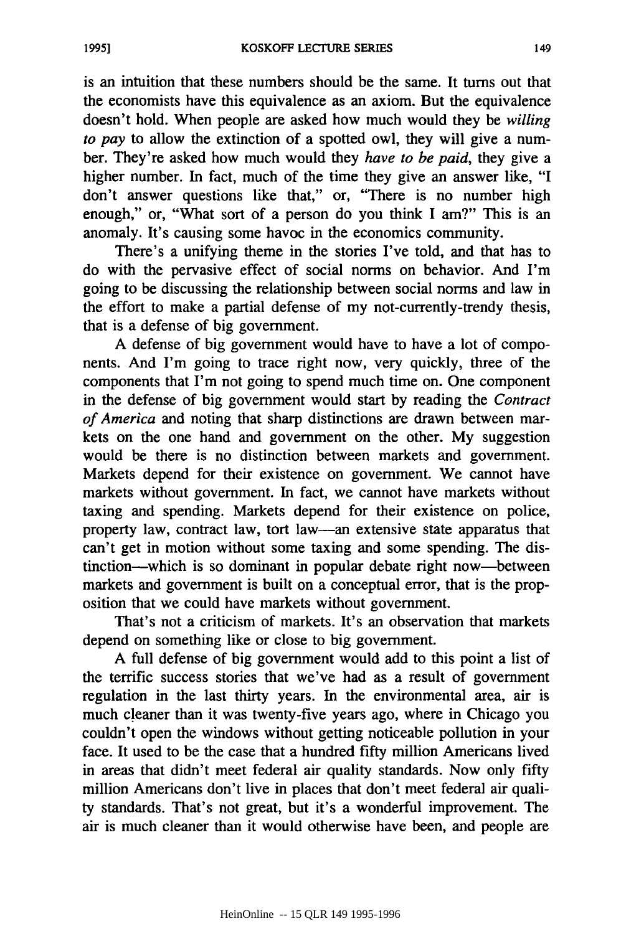is an intuition that these numbers should be the same. It turns out that the economists have this equivalence as an axiom. But the equivalence doesn't hold. When people are asked how much would they be *willing to pay* to allow the extinction of a spotted owl, they will give a number. They're asked how much would they *have to be paid,* they give a higher number. In fact, much of the time they give an answer like, "I don't answer questions like that," or, "There is no number high enough," or, "What sort of a person do you think I am?" This is an anomaly. It's causing some havoc in the economics community.

There's a unifying theme in the stories I've told, and that has to do with the pervasive effect of social norms on behavior. And I'm going to be discussing the relationship between social norms and law in the effort to make a partial defense of my not-currently-trendy thesis, that is a defense of big government.

A defense of big government would have to have a lot of components. And I'm going to trace right now, very quickly, three of the components that I'm not going to spend much time on. One component in the defense of big government would start by reading the *Contract of America* and noting that sharp distinctions are drawn between markets on the one hand and government on the other. My suggestion would be there is no distinction between markets and government. Markets depend for their existence on government. We cannot have markets without government. In fact, we cannot have markets without taxing and spending. Markets depend for their existence on police, property law, contract law, tort law-an extensive state apparatus that can't get in motion without some taxing and some spending. The distinction-which is so dominant in popular debate right now-between markets and government is built on a conceptual error, that is the proposition that we could have markets without government.

That's not a criticism of markets. It's an observation that markets depend on something like or close to big government.

A full defense of big government would add to this point a list of the terrific success stories that we've had as a result of government regulation in the last thirty years. In the environmental area, air is much cleaner than it was twenty-five years ago, where in Chicago you couldn't open the windows without getting noticeable pollution in your face. It used to be the case that a hundred fifty million Americans lived in areas that didn't meet federal air quality standards. Now only fifty million Americans don't live in places that don't meet federal air quality standards. That's not great, but it's a wonderful improvement. The air is much cleaner than it would otherwise have been, and people are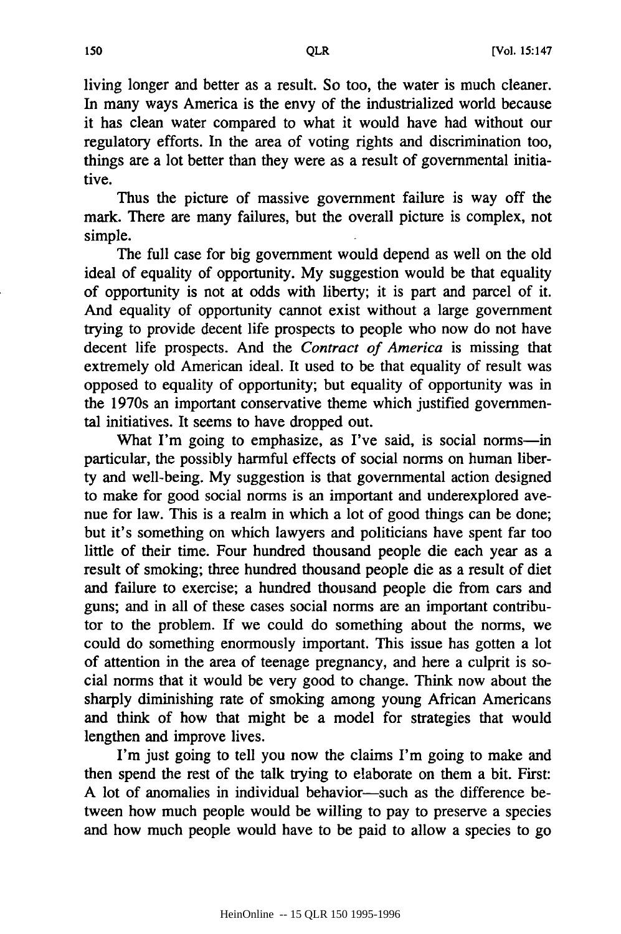living longer and better as a result. So too, the water is much cleaner. In many ways America is the envy of the industrialized world because it has clean water compared to what it would have had without our regulatory efforts. In the area of voting rights and discrimination too, things are a lot better than they were as a result of governmental initiative.

**QLR** 

Thus the picture of massive government failure is way off the mark. There are many failures, but the overall picture is complex, not simple.

The full case for big government would depend as well on the old ideal of equality of opportunity. My suggestion would be that equality of opportunity is not at odds with liberty; it is part and parcel of it. And equality of opportunity cannot exist without a large government trying to provide decent life prospects to people who now do not have decent life prospects. And the *Contract of America* is missing that extremely old American ideal. It used to be that equality of result was opposed to equality of opportunity; but equality of opportunity was in the 1970s an important conservative theme which justified governmental initiatives. It seems to have dropped out.

What I'm going to emphasize, as I've said, is social norms-in particular, the possibly harmful effects of social norms on human liberty and well-being. My suggestion is that governmental action designed to make for good social norms is an important and underexplored avenue for law. This is a realm in which a lot of good things can be done; but it's something on which lawyers and politicians have spent far too little of their time. Four hundred thousand people die each year as a result of smoking; three hundred thousand people die as a result of diet and failure to exercise; a hundred thousand people die from cars and guns; and in all of these cases social norms are an important contributor to the problem. If we could do something about the norms, we could do something enormously important. This issue has gotten a lot of attention in the area of teenage pregnancy, and here a culprit is social norms that it would be very good to change. Think now about the sharply diminishing rate of smoking among young African Americans and think of how that might be a model for strategies that would lengthen and improve lives.

I'm just going to tell you now the claims I'm going to make and then spend the rest of the talk trying to elaborate on them a bit. First: A lot of anomalies in individual behavior—such as the difference between how much people would be willing to pay to preserve a species and how much people would have to be paid to allow a species to go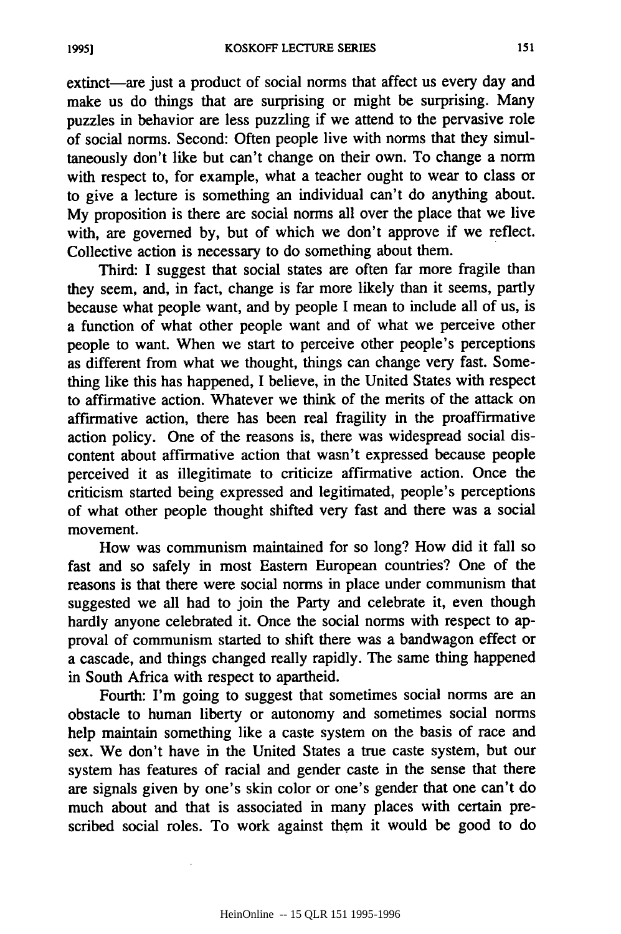extinct-are just a product of social norms that affect us every day and make us do things that are surprising or might be surprising. Many puzzles in behavior are less puzzling if we attend to the pervasive role of social norms. Second: Often people live with norms that they simultaneously don't like but can't change on their own. To change a norm with respect to, for example, what a teacher ought to wear to class or to give a lecture is something an individual can't do anything about. **My** proposition is there are social norms all over the place that we live with, are governed **by,** but of which we don't approve if we reflect. Collective action is necessary to do something about them.

Third: I suggest that social states are often far more fragile than they seem, and, in fact, change is far more likely than it seems, partly because what people want, and **by** people I mean to include all of us, is a function of what other people want and of what we perceive other people to want. When we start to perceive other people's perceptions as different from what we thought, things can change very fast. Something like this has happened, **I** believe, in the United States with respect to affirmative action. Whatever we think of the merits of the attack on affirmative action, there has been real fragility in the proaffirmative action policy. One of the reasons is, there was widespread social discontent about affirmative action that wasn't expressed because people perceived it as illegitimate to criticize affirmative action. Once the criticism started being expressed and legitimated, people's perceptions of what other people thought shifted very fast and there was a social movement.

How was communism maintained for so long? How did it fall so fast and so safely in most Eastern European countries? One of the reasons is that there were social norms in place under communism that suggested we all had to join the Party and celebrate it, even though hardly anyone celebrated it. Once the social norms with respect to approval of communism started to shift there was a bandwagon effect or a cascade, and things changed really rapidly. The same thing happened in South Africa with respect to apartheid.

Fourth: I'm going to suggest that sometimes social norms are an obstacle to human liberty or autonomy and sometimes social norms help maintain something like a caste system on the basis of race and sex. We don't have in the United States a true caste system, but our system has features of racial and gender caste in the sense that there are signals given by one's skin color or one's gender that one can't do much about and that is associated in many places with certain prescribed social roles. To work against them it would be good to do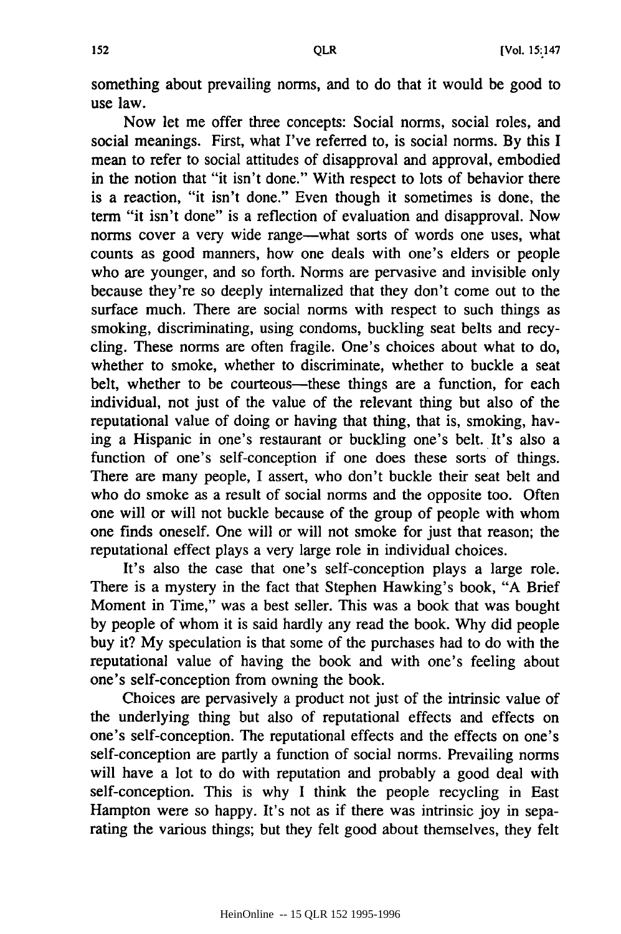something about prevailing norms, and to do that it would be good to use law.

**QLR** 

Now let me offer three concepts: Social norms, social roles, and social meanings. First, what I've referred to, is social norms. By this I mean to refer to social attitudes of disapproval and approval, embodied in the notion that "it isn't done." With respect to lots of behavior there is a reaction, "it isn't done." Even though it sometimes is done, the term "it isn't done" is a reflection of evaluation and disapproval. Now norms cover a very wide range—what sorts of words one uses, what counts as good manners, how one deals with one's elders or people who are younger, and so forth. Norms are pervasive and invisible only because they're so deeply internalized that they don't come out to the surface much. There are social norms with respect to such things as smoking, discriminating, using condoms, buckling seat belts and recycling. These norms are often fragile. One's choices about what to do, whether to smoke, whether to discriminate, whether to buckle a seat belt, whether to be courteous--these things are a function, for each individual, not just of the value of the relevant thing but also of the reputational value of doing or having that thing, that is, smoking, having a Hispanic in one's restaurant or buckling one's belt. It's also a function of one's self-conception if one does these sorts of things. There are many people, I assert, who don't buckle their seat belt and who do smoke as a result of social norms and the opposite too. Often one will or will not buckle because of the group of people with whom one finds oneself. One will or will not smoke for just that reason; the reputational effect plays a very large role in individual choices.

It's also the case that one's self-conception plays a large role. There is a mystery in the fact that Stephen Hawking's book, "A Brief Moment in Time," was a best seller. This was a book that was bought by people of whom it is said hardly any read the book. Why did people buy it? My speculation is that some of the purchases had to do with the reputational value of having the book and with one's feeling about one's self-conception from owning the book.

Choices are pervasively a product not just of the intrinsic value of the underlying thing but also of reputational effects and effects on one's self-conception. The reputational effects and the effects on one's self-conception are partly a function of social norms. Prevailing norms will have a lot to do with reputation and probably a good deal with self-conception. This is why I think the people recycling in East Hampton were so happy. It's not as if there was intrinsic joy in separating the various things; but they felt good about themselves, they felt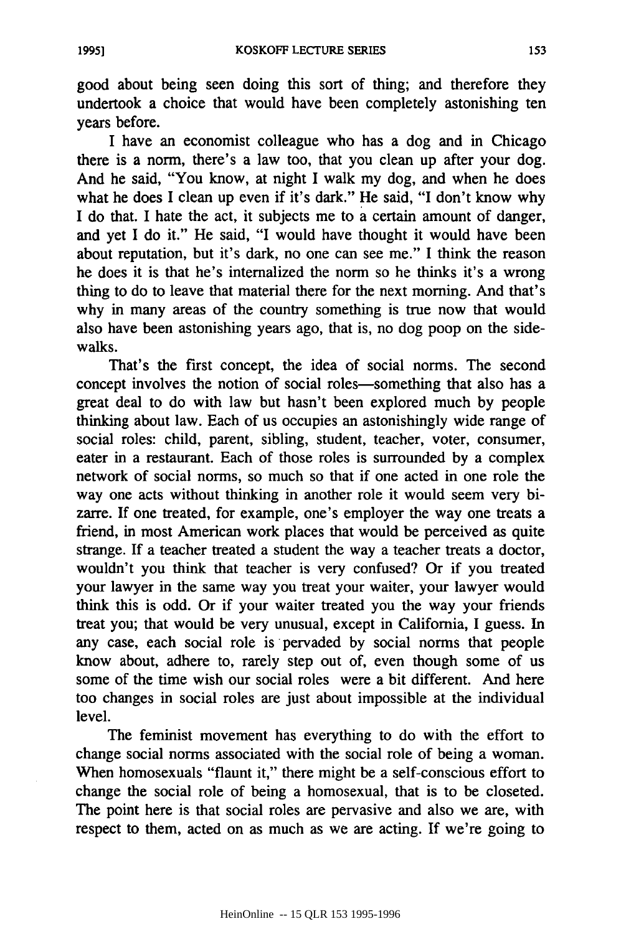good about being seen doing this sort of thing; and therefore they undertook a choice that would have been completely astonishing ten years before.

I have an economist colleague who has a dog and in Chicago there is a norm, there's a law too, that you clean up after your dog. And he said, "You know, at night I walk my dog, and when he does what he does I clean up even if it's dark." He said, "I don't know why I do that. I hate the act, it subjects me to a certain amount of danger, and yet I do it." He said, "I would have thought it would have been about reputation, but it's dark, no one can see me." I think the reason he does it is that he's internalized the norm so he thinks it's a wrong thing to do to leave that material there for the next morning. And that's why in many areas of the country something is true now that would also have been astonishing years ago, that is, no dog poop on the sidewalks.

That's the first concept, the idea of social norms. The second concept involves the notion of social roles-something that also has a great deal to do with law but hasn't been explored much by people thinking about law. Each of us occupies an astonishingly wide range of social roles: child, parent, sibling, student, teacher, voter, consumer, eater in a restaurant. Each of those roles is surrounded by a complex network of social norms, so much so that if one acted in one role the way one acts without thinking in another role it would seem very bizarre. If one treated, for example, one's employer the way one treats a friend, in most American work places that would be perceived as quite strange. If a teacher treated a student the way a teacher treats a doctor, wouldn't you think that teacher is very confused? Or if you treated your lawyer in the same way you treat your waiter, your lawyer would think this is odd. Or if your waiter treated you the way your friends treat you; that would be very unusual, except in California, I guess. In any case, each social role is pervaded by social norms that people know about, adhere to, rarely step out of, even though some of us some of the time wish our social roles were a bit different. And here too changes in social roles are just about impossible at the individual level.

The feminist movement has everything to do with the effort to change social norms associated with the social role of being a woman. When homosexuals "flaunt it," there might be a self-conscious effort to change the social role of being a homosexual, that is to be closeted. The point here is that social roles are pervasive and also we are, with respect to them, acted on as much as we are acting. If we're going to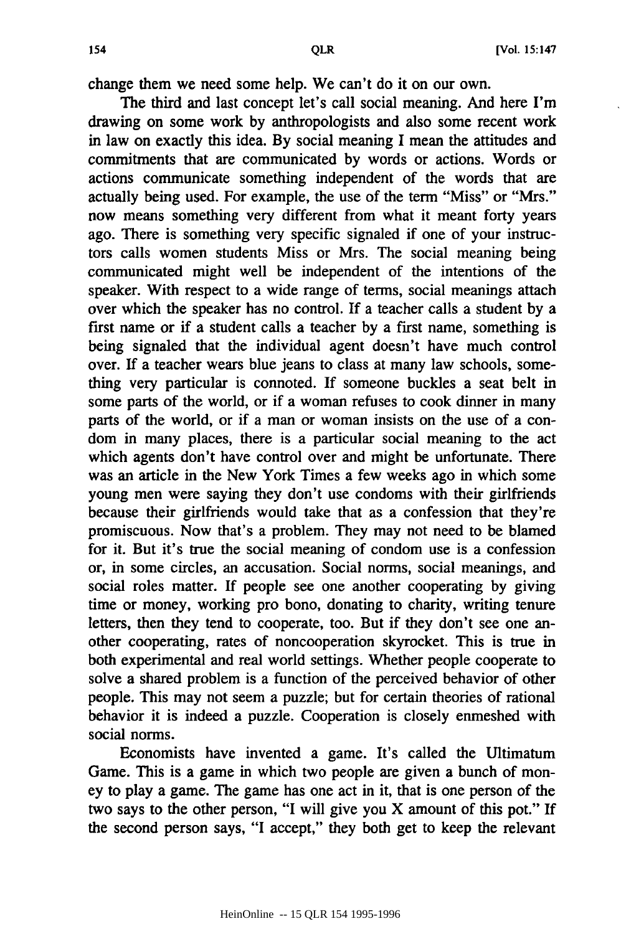change them we need some help. We can't do it on our own.

The third and last concept let's call social meaning. And here I'm drawing on some work by anthropologists and also some recent work in law on exactly this idea. By social meaning I mean the attitudes and commitments that are communicated by words or actions. Words or actions communicate something independent of the words that are actually being used. For example, the use of the term "Miss" or "Mrs." now means something very different from what it meant forty years ago. There is something very specific signaled if one of your instructors calls women students Miss or Mrs. The social meaning being communicated might well be independent of the intentions of the speaker. With respect to a wide range of terms, social meanings attach over which the speaker has no control. If a teacher calls a student by a first name or if a student calls a teacher by a first name, something is being signaled that the individual agent doesn't have much control over. If a teacher wears blue jeans to class at many law schools, something very particular is connoted. If someone buckles a seat belt in some parts of the world, or if a woman refuses to cook dinner in many parts of the world, or if a man or woman insists on the use of a condom in many places, there is a particular social meaning to the act which agents don't have control over and might be unfortunate. There was an article in the New York Times a few weeks ago in which some young men were saying they don't use condoms with their girlfriends because their girlfriends would take that as a confession that they're promiscuous. Now that's a problem. They may not need to be blamed for it. But it's true the social meaning of condom use is a confession or, in some circles, an accusation. Social norms, social meanings, and social roles matter. If people see one another cooperating by giving time or money, working pro bono, donating to charity, writing tenure letters, then they tend to cooperate, too. But if they don't see one another cooperating, rates of noncooperation skyrocket. This is true in both experimental and real world settings. Whether people cooperate to solve a shared problem is a function of the perceived behavior of other people. This may not seem a puzzle; but for certain theories of rational behavior it is indeed a puzzle. Cooperation is closely enmeshed with social norms.

Economists have invented a game. It's called the Ultimatum Game. This is a game in which two people are given a bunch of money to play a game. The game has one act in it, that is one person of the two says to the other person, "I will give you X amount of this pot." If the second person says, "I accept," they both get to keep the relevant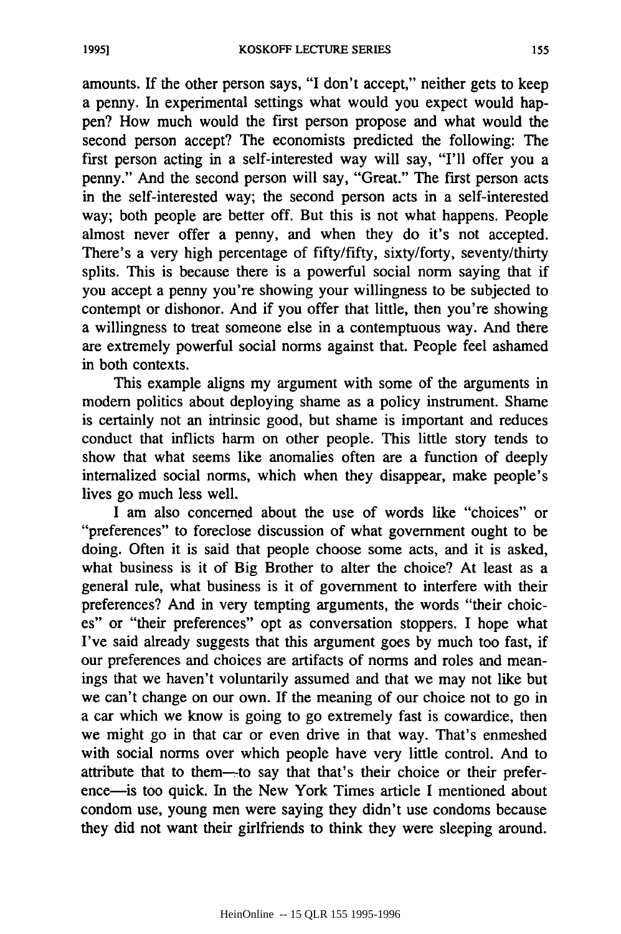amounts. If the other person says, "I don't accept," neither gets to keep a penny. In experimental settings what would you expect would happen? How much would the first person propose and what would the second person accept? The economists predicted the following: The first person acting in a self-interested way will say, "I'll offer you a penny." And the second person will say, "Great." The first person acts in the self-interested way; the second person acts in a self-interested way; both people are better off. But this is not what happens. People almost never offer a penny, and when they do it's not accepted. There's a very high percentage of fifty/fifty, sixty/forty, seventy/thirty splits. This is because there is a powerful social norm saying that if you accept a penny you're showing your willingness to be subjected to contempt or dishonor. And if you offer that little, then you're showing a willingness to treat someone else in a contemptuous way. And there are extremely powerful social norms against that. People feel ashamed in both contexts.

This example aligns my argument with some of the arguments in modem politics about deploying shame as a policy instrument. Shame is certainly not an intrinsic good, but shame is important and reduces conduct that inflicts harm on other people. This little story tends to show that what seems like anomalies often are a function of deeply internalized social norms, which when they disappear, make people's lives go much less well.

I am also concerned about the use of words like "choices" or "preferences" to foreclose discussion of what government ought to be doing. Often it is said that people choose some acts, and it is asked, what business is it of Big Brother to alter the choice? At least as a general rule, what business is it of government to interfere with their preferences? And in very tempting arguments, the words "their choices" or "their preferences" opt as conversation stoppers. I hope what I've said already suggests that this argument goes by much too fast, if our preferences and choices are artifacts of norms and roles and meanings that we haven't voluntarily assumed and that we may not like but we can't change on our own. If the meaning of our choice not to go in a car which we know is going to go extremely fast is cowardice, then we might go in that car or even drive in that way. That's enmeshed with social norms over which people have very little control. And to attribute that to them--to say that that's their choice or their preference—is too quick. In the New York Times article I mentioned about condom use, young men were saying they didn't use condoms because they did not want their girlfriends to think they were sleeping around.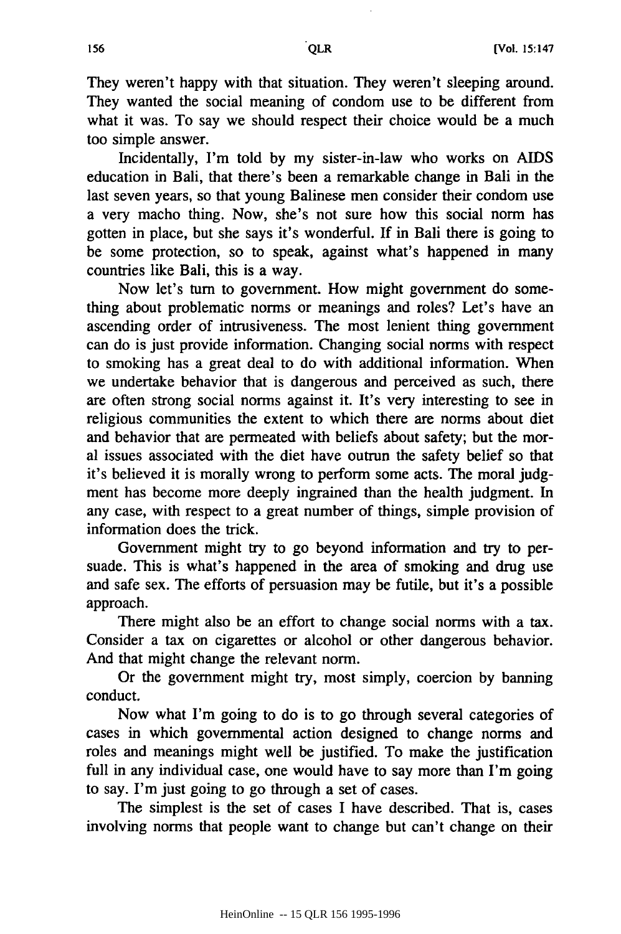They weren't happy with that situation. They weren't sleeping around. They wanted the social meaning of condom use to be different from what it was. To say we should respect their choice would be a much too simple answer.

QLR

Incidentally, I'm told **by** my sister-in-law who works on AIDS education in Bali, that there's been a remarkable change in Bali in the last seven years, so that young Balinese men consider their condom use a very macho thing. Now, she's not sure how this social norm has gotten in place, but she says it's wonderful. **If** in Bali there is going to be some protection, so to speak, against what's happened in many countries like Bali, this is a way.

Now let's turn to government. How might government do something about problematic norms or meanings and roles? Let's have an ascending order of intrusiveness. The most lenient thing government can do is just provide information. Changing social norms with respect to smoking has a great deal to do with additional information. When we undertake behavior that is dangerous and perceived as such, there are often strong social norms against it. It's very interesting to see in religious communities the extent to which there are norms about diet and behavior that are permeated with beliefs about safety; but the moral issues associated with the diet have outrun the safety belief so that it's believed it is morally wrong to perform some acts. The moral judgment has become more deeply ingrained than the health judgment. In any case, with respect to a great number of things, simple provision of information does the trick.

Government might try to go beyond information and try to persuade. This is what's happened in the area of smoking and drug use and safe sex. The efforts of persuasion may be futile, but it's a possible approach.

There might also be an effort to change social norms with a tax. Consider a tax on cigarettes or alcohol or other dangerous behavior. And that might change the relevant norm.

Or the government might try, most simply, coercion **by** banning conduct.

Now what I'm going to do is to go through several categories of cases in which governmental action designed to change norms and roles and meanings might well be justified. To make the justification full in any individual case, one would have to say more than I'm going to say. I'm just going to go through a set of cases.

The simplest is the set of cases I have described. That is, cases involving norms that people want to change but can't change on their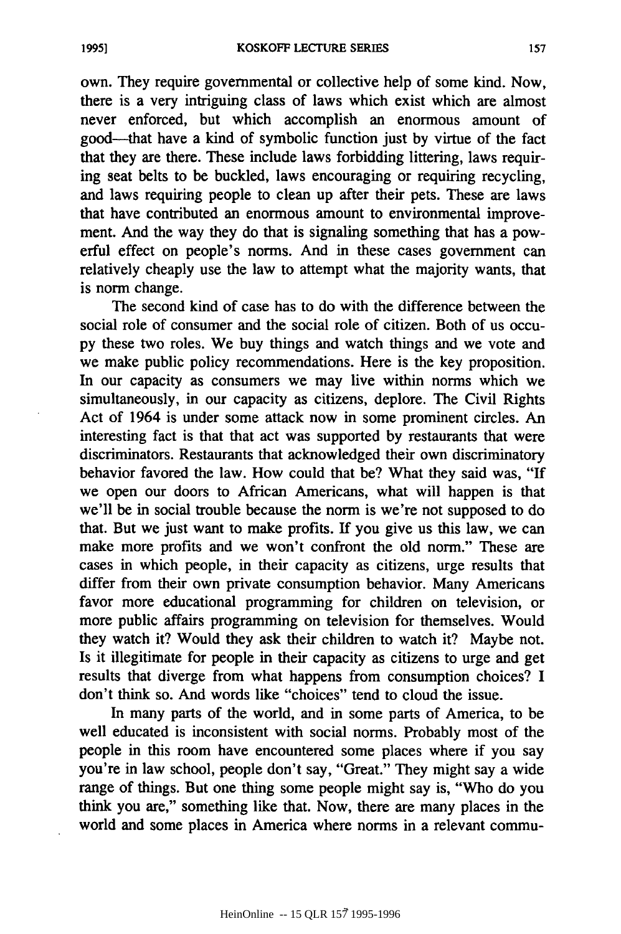own. They require governmental or collective help of some kind. Now, there is a very intriguing class of laws which exist which are almost never enforced, but which accomplish an enormous amount of good-that have a kind of symbolic function just by virtue of the fact that they are there. These include laws forbidding littering, laws requiring seat belts to be buckled, laws encouraging or requiring recycling, and laws requiring people to clean up after their pets. These are laws that have contributed an enormous amount to environmental improvement. And the way they do that is signaling something that has a powerful effect on people's norms. And in these cases government can relatively cheaply use the law to attempt what the majority wants, that is norm change.

The second kind of case has to do with the difference between the social role of consumer and the social role of citizen. Both of us occupy these two roles. We buy things and watch things and we vote and we make public policy recommendations. Here is the key proposition. In our capacity as consumers we may live within norms which we simultaneously, in our capacity as citizens, deplore. The Civil Rights Act of 1964 is under some attack now in some prominent circles. An interesting fact is that that act was supported by restaurants that were discriminators. Restaurants that acknowledged their own discriminatory behavior favored the law. How could that be? What they said was, "If we open our doors to African Americans, what will happen is that we'll be in social trouble because the norm is we're not supposed to do that. But we just want to make profits. If you give us this law, we can make more profits and we won't confront the old norm." These are cases in which people, in their capacity as citizens, urge results that differ from their own private consumption behavior. Many Americans favor more educational programming for children on television, or more public affairs programming on television for themselves. Would they watch it? Would they ask their children to watch it? Maybe not. Is it illegitimate for people in their capacity as citizens to urge and get results that diverge from what happens from consumption choices? I don't think so. And words like "choices" tend to cloud the issue.

In many parts of the world, and in some parts of America, to be well educated is inconsistent with social norms. Probably most of the people in this room have encountered some places where if you say you're in law school, people don't say, "Great." They might say a wide range of things. But one thing some people might say is, "Who do you think you are," something like that. Now, there are many places in the world and some places in America where norms in a relevant commu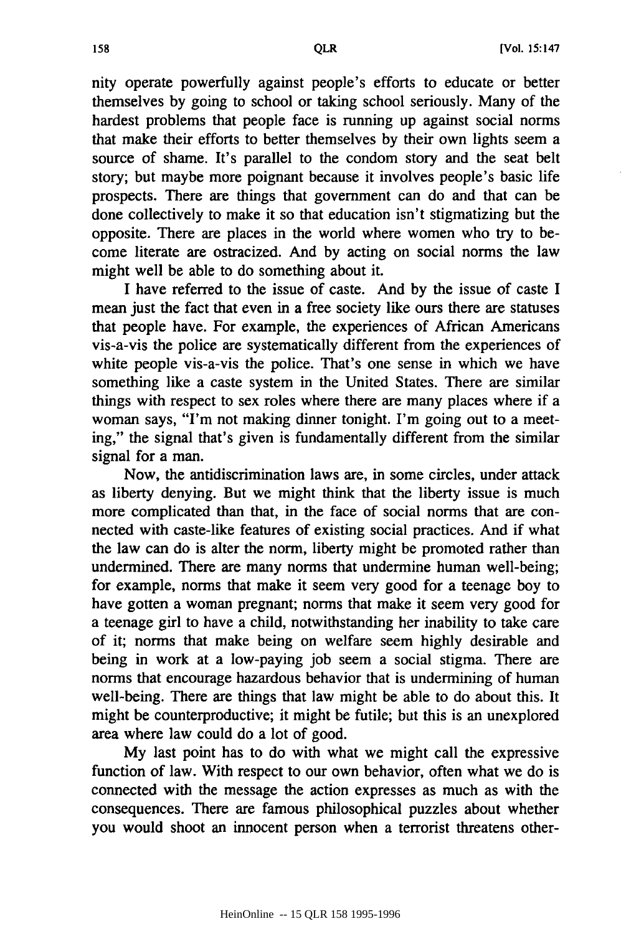nity operate powerfully against people's efforts to educate or better themselves by going to school or taking school seriously. Many of the hardest problems that people face is running up against social norms that make their efforts to better themselves by their own lights seem a source of shame. It's parallel to the condom story and the seat belt story; but maybe more poignant because it involves people's basic life prospects. There are things that government can do and that can be done collectively to make it so that education isn't stigmatizing but the opposite. There are places in the world where women who try to become literate are ostracized. And by acting on social norms the law might well be able to do something about it.

I have referred to the issue of caste. And by the issue of caste I mean just the fact that even in a free society like ours there are statuses that people have. For example, the experiences of African Americans vis-a-vis the police are systematically different from the experiences of white people vis-a-vis the police. That's one sense in which we have something like a caste system in the United States. There are similar things with respect to sex roles where there are many places where if a woman says, "I'm not making dinner tonight. I'm going out to a meeting," the signal that's given is fundamentally different from the similar signal for a man.

Now, the antidiscrimination laws are, in some circles, under attack as liberty denying. But we might think that the liberty issue is much more complicated than that, in the face of social norms that are connected with caste-like features of existing social practices. And if what the law can do is alter the norm, liberty might be promoted rather than undermined. There are many norms that undermine human well-being; for example, norms that make it seem very good for a teenage boy to have gotten a woman pregnant; norms that make it seem very good for a teenage girl to have a child, notwithstanding her inability to take care of it; norms that make being on welfare seem highly desirable and being in work at a low-paying job seem a social stigma. There are norms that encourage hazardous behavior that is undermining of human well-being. There are things that law might be able to do about this. It might be counterproductive; it might be futile; but this is an unexplored area where law could do a lot of good.

My last point has to do with what we might call the expressive function of law. With respect to our own behavior, often what we do is connected with the message the action expresses as much as with the consequences. There are famous philosophical puzzles about whether you would shoot an innocent person when a terrorist threatens other-